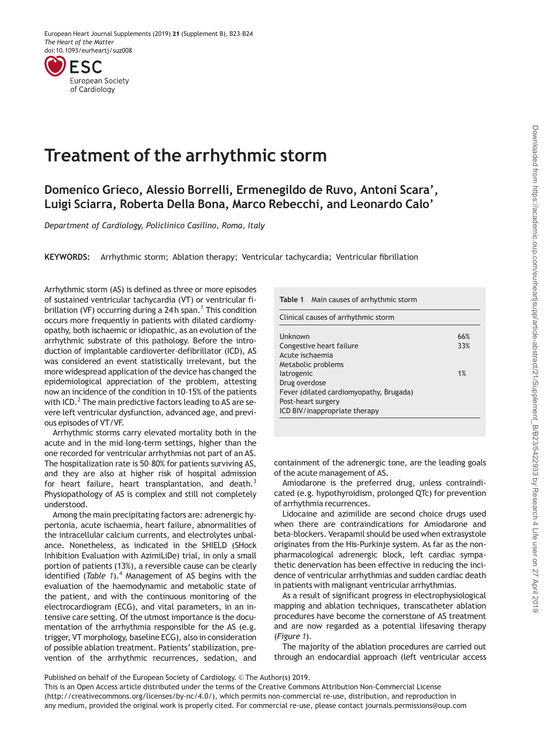<span id="page-0-0"></span>

## Treatment of the arrhythmic storm

Domenico Grieco, Alessio Borrelli, Ermenegildo de Ruvo, Antoni Scara', Luigi Sciarra, Roberta Della Bona, Marco Rebecchi, and Leonardo Calo'

Department of Cardiology, Policlinico Casilino, Roma, Italy

KEYWORDS: Arrhythmic storm; Ablation therapy; Ventricular tachycardia; Ventricular fibrillation

Arrhythmic storm (AS) is defined as three or more episodes of sustained ventricular tachycardia (VT) or ventricular fi-brillation (VF) occurring during a 24h span.<sup>[1](#page-1-0)</sup> This condition occurs more frequently in patients with dilated cardiomyopathy, both ischaemic or idiopathic, as an evolution of the arrhythmic substrate of this pathology. Before the introduction of implantable cardioverter–defibrillator (ICD), AS was considered an event statistically irrelevant, but the more widespread application of the device has changed the epidemiological appreciation of the problem, attesting now an incidence of the condition in 10–15% of the patients with ICD.<sup>2</sup> The main predictive factors leading to AS are severe left ventricular dysfunction, advanced age, and previous episodes of VT/VF.

Arrhythmic storms carry elevated mortality both in the acute and in the mid–long-term settings, higher than the one recorded for ventricular arrhythmias not part of an AS. The hospitalization rate is 50–80% for patients surviving AS, and they are also at higher risk of hospital admission for heart failure, heart transplantation, and death.<sup>3</sup> Physiopathology of AS is complex and still not completely understood.

Among the main precipitating factors are: adrenergic hypertonia, acute ischaemia, heart failure, abnormalities of the intracellular calcium currents, and electrolytes unbalance. Nonetheless, as indicated in the SHIELD (SHock Inhibition Evaluation with AzimiLiDe) trial, in only a small portion of patients (13%), a reversible cause can be clearly identified (Table 1).<sup>4</sup> Management of AS begins with the evaluation of the haemodynamic and metabolic state of the patient, and with the continuous monitoring of the electrocardiogram (ECG), and vital parameters, in an intensive care setting. Of the utmost importance is the documentation of the arrhythmia responsible for the AS (e.g. trigger, VT morphology, baseline ECG), also in consideration of possible ablation treatment. Patients' stabilization, prevention of the arrhythmic recurrences, sedation, and

|  | Table 1 Main causes of arrhythmic storm |  |
|--|-----------------------------------------|--|
|--|-----------------------------------------|--|

Clinical causes of arrhythmic storm

| Unknown                                 | 66% |
|-----------------------------------------|-----|
| Congestive heart failure                | 33% |
| Acute ischaemia                         |     |
| Metabolic problems                      |     |
| latrogenic                              | 1%  |
| Drug overdose                           |     |
| Fever (dilated cardiomyopathy, Brugada) |     |
| Post-heart surgery                      |     |
| ICD BIV/inappropriate therapy           |     |

containment of the adrenergic tone, are the leading goals of the acute management of AS.

Amiodarone is the preferred drug, unless contraindicated (e.g. hypothyroidism, prolonged QTc) for prevention of arrhythmia recurrences.

Lidocaine and azimilide are second choice drugs used when there are contraindications for Amiodarone and beta-blockers. Verapamil should be used when extrasystole originates from the His-Purkinje system. As far as the nonpharmacological adrenergic block, left cardiac sympathetic denervation has been effective in reducing the incidence of ventricular arrhythmias and sudden cardiac death in patients with malignant ventricular arrhythmias.

As a result of significant progress in electrophysiological mapping and ablation techniques, transcatheter ablation procedures have become the cornerstone of AS treatment and are now regarded as a potential lifesaving therapy (Figure [1](#page-1-0)).

The majority of the ablation procedures are carried out through an endocardial approach (left ventricular access

Published on behalf of the European Society of Cardiology. © The Author(s) 2019.

This is an Open Access article distributed under the terms of the Creative Commons Attribution Non-Commercial License (http://creativecommons.org/licenses/by-nc/4.0/), which permits non-commercial re-use, distribution, and reproduction in any medium, provided the original work is properly cited. For commercial re-use, please contact journals.permissions@oup.com